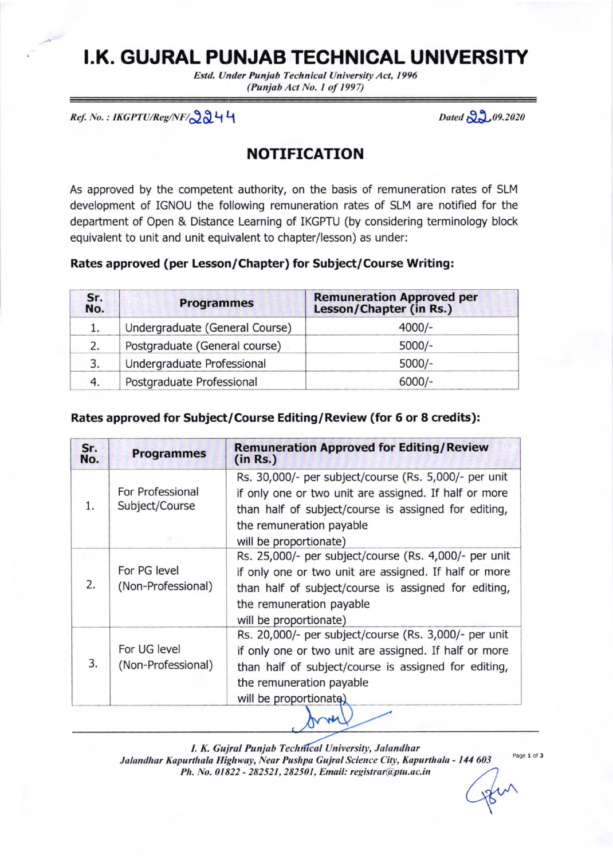# **I.K. GUJRAL PUNJAB TECHNICAL UNIVERSITY**

Estd. Under Punjab Technical University Act, 1996 (Punjab Act No. I of 1997)

 $Ref. No.: IKGPTU/Reg/NF/\bigcirc \partial \partial \mathcal{U}$ 

Dated  $22.09.2020$ 

# NOTIFICATION

As approved by the competent authority, on the basis of remuneration rates of SLM development of IGNOU the following remuneration rates of SLM are notified for the department of Open & Distance Learning of IKGPTU (by considering terminology block equivalent to unit and unit equivalent to chapter/lesson) as under:

#### Rates approved (per Lesson/Chapter) for Subject/Course Writing:

| Sr.<br>No. | <b>Programmes</b>              | <b>Remuneration Approved per</b><br>Lesson/Chapter (in Rs.) |
|------------|--------------------------------|-------------------------------------------------------------|
|            | Undergraduate (General Course) | $4000/-$                                                    |
| 2.         | Postgraduate (General course)  | $5000/-$                                                    |
| 3.         | Undergraduate Professional     | $5000/-$                                                    |
| 4.         | Postgraduate Professional      | $6000/-$                                                    |

#### Rates approved for Subject/Course Editing/Review (for 6 or 8 credits):

| Sr.<br>No. | <b>Programmes</b>                  | <b>Remuneration Approved for Editing/Review</b><br>(in Rs.) |  |  |
|------------|------------------------------------|-------------------------------------------------------------|--|--|
|            |                                    | Rs. 30,000/- per subject/course (Rs. 5,000/- per unit       |  |  |
|            | For Professional                   | if only one or two unit are assigned. If half or more       |  |  |
| $1$ .      | Subject/Course                     | than half of subject/course is assigned for editing,        |  |  |
|            |                                    | the remuneration payable                                    |  |  |
|            |                                    | will be proportionate)                                      |  |  |
|            |                                    | Rs. 25,000/- per subject/course (Rs. 4,000/- per unit       |  |  |
|            | For PG level                       | if only one or two unit are assigned. If half or more       |  |  |
| 2.         | (Non-Professional)                 | than half of subject/course is assigned for editing,        |  |  |
|            |                                    | the remuneration payable                                    |  |  |
|            |                                    | will be proportionate)                                      |  |  |
|            |                                    | Rs. 20,000/- per subject/course (Rs. 3,000/- per unit       |  |  |
| 3.         | For UG level<br>(Non-Professional) | if only one or two unit are assigned. If half or more       |  |  |
|            |                                    | than half of subject/course is assigned for editing,        |  |  |
|            |                                    | the remuneration payable                                    |  |  |
|            |                                    | will be proportionate)                                      |  |  |
|            |                                    |                                                             |  |  |

I. K. Gujral Punjab Technical University, Jalandhar Jalandhar Kapurthala Highway, Near Pushpa Gujral Science City, Kapurthala - 144 603 Ph. No. 01822 - 282521, 282501, Email: registrar@ptu.ac.in

Page 1 of 3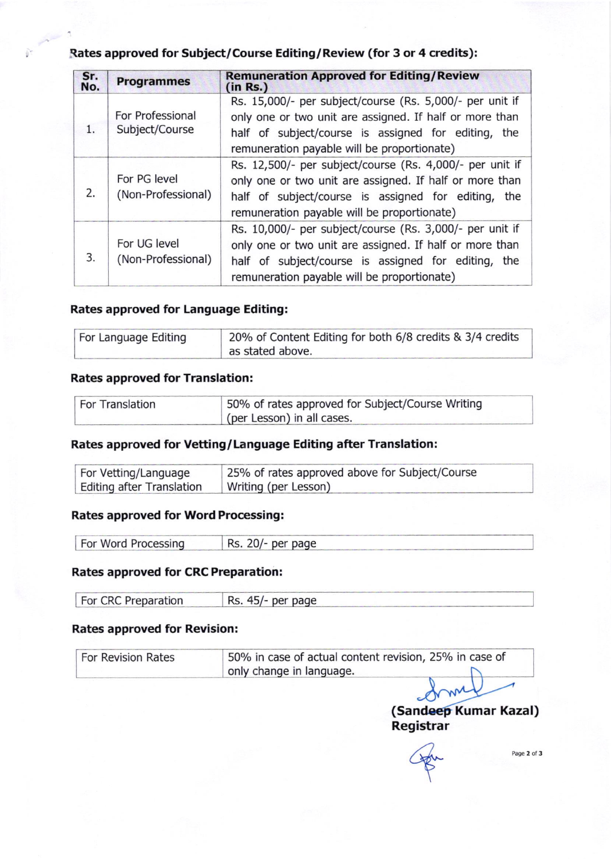# Rates approved for Subject/Course Editing/ Review (for 3 or 4 credits):

| Sr.<br>No. | <b>Programmes</b>                  | <b>Remuneration Approved for Editing/Review</b><br>(in Rs.)                                                                                                                                                                  |  |
|------------|------------------------------------|------------------------------------------------------------------------------------------------------------------------------------------------------------------------------------------------------------------------------|--|
| 1.         | For Professional<br>Subject/Course | Rs. 15,000/- per subject/course (Rs. 5,000/- per unit if<br>only one or two unit are assigned. If half or more than<br>half of subject/course is assigned for editing, the<br>remuneration payable will be proportionate)    |  |
| 2.         | For PG level<br>(Non-Professional) | Rs. 12,500/- per subject/course (Rs. 4,000/- per unit if<br>only one or two unit are assigned. If half or more than<br>half of subject/course is assigned for editing,<br>the<br>remuneration payable will be proportionate) |  |
| 3.         | For UG level<br>(Non-Professional) | Rs. 10,000/- per subject/course (Rs. 3,000/- per unit if<br>only one or two unit are assigned. If half or more than<br>half of subject/course is assigned for editing,<br>the<br>remuneration payable will be proportionate) |  |

#### Rates approved for Language Editing:

| For Language Editing | 20% of Content Editing for both 6/8 credits & 3/4 credits |
|----------------------|-----------------------------------------------------------|
|                      | as stated above.                                          |

# Rates approved for Translation:

| <b>For Translation</b> | 50% of rates approved for Subject/Course Writing |
|------------------------|--------------------------------------------------|
|                        | (per Lesson) in all cases.                       |

# Rates approved for Vetting/Language Editing after Translation:

| For Vetting/Language             | 25% of rates approved above for Subject/Course |
|----------------------------------|------------------------------------------------|
| <b>Editing after Translation</b> | Writing (per Lesson)                           |

### Rates approved for Word Processing:

| For Word Processing | Rs. 20/- per page |  |
|---------------------|-------------------|--|
|                     |                   |  |

#### Rates approved for CRC Preparation:

|  | For CRC Preparation | Rs. 45/- per page |
|--|---------------------|-------------------|
|--|---------------------|-------------------|

# Rates approved for Revision:

| For Revision Rates | 50% in case of actual content revision, 25% in case of |  |  |
|--------------------|--------------------------------------------------------|--|--|
|                    | only change in language.                               |  |  |
|                    |                                                        |  |  |
|                    |                                                        |  |  |

(Sandeep Kumar Kazal)

Registrar<br>  $\overbrace{\mathbb{R}}^{2}$ 

Page 2 of 3